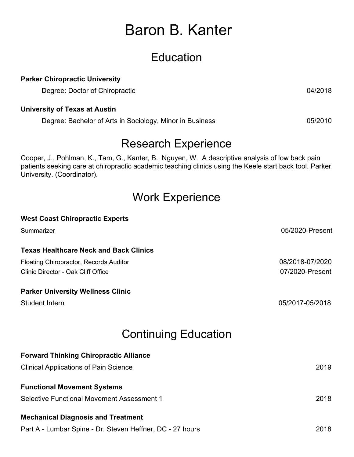# Baron B. Kanter

## **Education**

#### **Parker Chiropractic University**

Degree: Doctor of Chiropractic 04/2018

#### **University of Texas at Austin**

Degree: Bachelor of Arts in Sociology, Minor in Business 05/2010

### Research Experience

Cooper, J., Pohlman, K., Tam, G., Kanter, B., Nguyen, W. A descriptive analysis of low back pain patients seeking care at chiropractic academic teaching clinics using the Keele start back tool. Parker University. (Coordinator).

### Work Experience

| <b>West Coast Chiropractic Experts</b>                    |                 |
|-----------------------------------------------------------|-----------------|
| Summarizer                                                | 05/2020-Present |
| <b>Texas Healthcare Neck and Back Clinics</b>             |                 |
| Floating Chiropractor, Records Auditor                    | 08/2018-07/2020 |
| Clinic Director - Oak Cliff Office                        | 07/2020-Present |
| <b>Parker University Wellness Clinic</b>                  |                 |
| Student Intern                                            | 05/2017-05/2018 |
| <b>Continuing Education</b>                               |                 |
| <b>Forward Thinking Chiropractic Alliance</b>             |                 |
| <b>Clinical Applications of Pain Science</b>              | 2019            |
| <b>Functional Movement Systems</b>                        |                 |
| Selective Functional Movement Assessment 1                | 2018            |
| <b>Mechanical Diagnosis and Treatment</b>                 |                 |
| Part A - Lumbar Spine - Dr. Steven Heffner, DC - 27 hours | 2018            |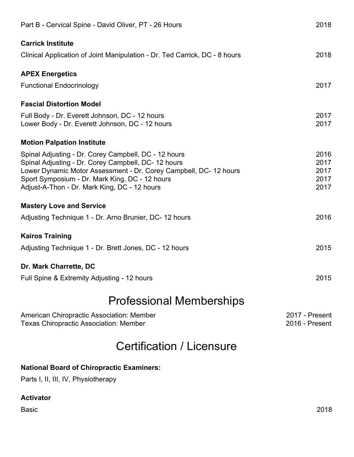| Part B - Cervical Spine - David Oliver, PT - 26 Hours                                                                                                                                                                                                                             | 2018                                 |  |
|-----------------------------------------------------------------------------------------------------------------------------------------------------------------------------------------------------------------------------------------------------------------------------------|--------------------------------------|--|
| <b>Carrick Institute</b>                                                                                                                                                                                                                                                          |                                      |  |
| Clinical Application of Joint Manipulation - Dr. Ted Carrick, DC - 8 hours                                                                                                                                                                                                        | 2018                                 |  |
| <b>APEX Energetics</b>                                                                                                                                                                                                                                                            |                                      |  |
| <b>Functional Endocrinology</b>                                                                                                                                                                                                                                                   | 2017                                 |  |
| <b>Fascial Distortion Model</b>                                                                                                                                                                                                                                                   |                                      |  |
| Full Body - Dr. Everett Johnson, DC - 12 hours<br>Lower Body - Dr. Everett Johnson, DC - 12 hours                                                                                                                                                                                 | 2017<br>2017                         |  |
| <b>Motion Palpation Institute</b>                                                                                                                                                                                                                                                 |                                      |  |
| Spinal Adjusting - Dr. Corey Campbell, DC - 12 hours<br>Spinal Adjusting - Dr. Corey Campbell, DC- 12 hours<br>Lower Dynamic Motor Assessment - Dr. Corey Campbell, DC-12 hours<br>Sport Symposium - Dr. Mark King, DC - 12 hours<br>Adjust-A-Thon - Dr. Mark King, DC - 12 hours | 2016<br>2017<br>2017<br>2017<br>2017 |  |
| <b>Mastery Love and Service</b>                                                                                                                                                                                                                                                   |                                      |  |
| Adjusting Technique 1 - Dr. Arno Brunier, DC-12 hours                                                                                                                                                                                                                             | 2016                                 |  |
| <b>Kairos Training</b>                                                                                                                                                                                                                                                            |                                      |  |
| Adjusting Technique 1 - Dr. Brett Jones, DC - 12 hours                                                                                                                                                                                                                            | 2015                                 |  |
| Dr. Mark Charrette, DC                                                                                                                                                                                                                                                            |                                      |  |
| Full Spine & Extremity Adjusting - 12 hours                                                                                                                                                                                                                                       | 2015                                 |  |
| <b>Professional Memberships</b>                                                                                                                                                                                                                                                   |                                      |  |
| American Chiropractic Association: Member<br><b>Texas Chiropractic Association: Member</b>                                                                                                                                                                                        | 2017 - Present<br>2016 - Present     |  |

# Certification / Licensure

#### **National Board of Chiropractic Examiners:**

Parts I, II, III, IV, Physiotherapy

#### **Activator**

Basic 2018